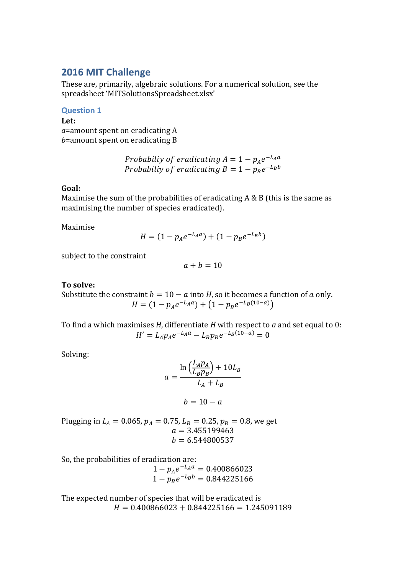## **2016 MIT Challenge**

These are, primarily, algebraic solutions. For a numerical solution, see the spreadsheet 'MITSolutionsSpreadsheet.xlsx'

**Question 1**

**Let:** *a*=amount spent on eradicating A *b*=amount spent on eradicating B

> Probabiliy of eradicating  $A = 1 - p_A e^{-t}$ Probabiliy of eradicating  $B = 1 - p_B e^{-\frac{1}{2}}$

## **Goal:**

Maximise the sum of the probabilities of eradicating A & B (this is the same as maximising the number of species eradicated).

Maximise

$$
H = (1 - p_A e^{-L_A a}) + (1 - p_B e^{-L_B b})
$$

subject to the constraint

$$
a+b=10
$$

## **To solve:**

Substitute the constraint  $b = 10 - a$  into *H*, so it becomes a function of a only.  $H = (1 - p_A e^{-L_A a}) + (1 - p_B e^{-L_B (10 - a)})$ 

To find a which maximises *H*, differentiate *H* with respect to *a* and set equal to 0:  $H' = L_A p_A e^{-L_A a} - L_B p_B e^{-L_B (10-a)} =$ 

Solving:

$$
a = \frac{\ln\left(\frac{L_A p_A}{L_B p_B}\right) + 10L_B}{L_A + L_B}
$$

$$
b = 10 - a
$$

Plugging in 
$$
L_A = 0.065
$$
,  $p_A = 0.75$ ,  $L_B = 0.25$ ,  $p_B = 0.8$ , we get  
\n $a = 3.455199463$   
\n $b = 6.544800537$ 

So, the probabilities of eradication are:

 $1 - p_{A}e^{-}$  $1 - p_B e^{-}$ 

The expected number of species that will be eradicated is  $H = 0.400866023 + 0.844225166 = 1.245091189$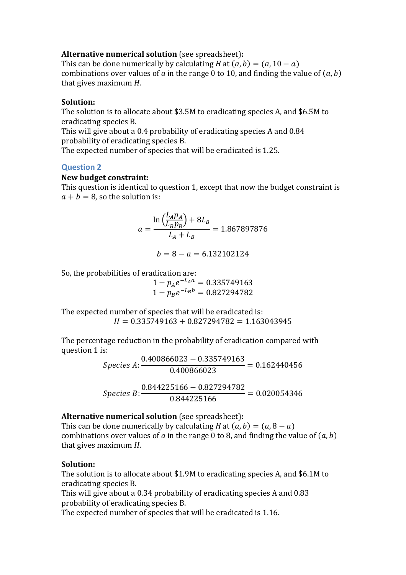## **Alternative numerical solution** (see spreadsheet)**:**

This can be done numerically by calculating *H* at  $(a, b) = (a, 10 - a)$ combinations over values of  $a$  in the range 0 to 10, and finding the value of  $(a, b)$ that gives maximum *H*.

## **Solution:**

The solution is to allocate about \$3.5M to eradicating species A, and \$6.5M to eradicating species B.

This will give about a 0.4 probability of eradicating species A and 0.84 probability of eradicating species B.

The expected number of species that will be eradicated is 1.25.

# **Question 2**

## **New budget constraint:**

This question is identical to question 1, except that now the budget constraint is  $a + b = 8$ , so the solution is:

$$
a = \frac{\ln\left(\frac{L_A p_A}{L_B p_B}\right) + 8L_B}{L_A + L_B} = 1.867897876
$$

$$
b = 8 - a = 6.132102124
$$

So, the probabilities of eradication are:

 $1 - p_{A}e^{-}$  $1 - p_B e^{-}$ 

The expected number of species that will be eradicated is:  $H = 0.335749163 + 0.827294782 = 1.163043945$ 

The percentage reduction in the probability of eradication compared with question 1 is:

$$
Species A: \frac{0.400866023 - 0.335749163}{0.400866023} = 0.162440456
$$

$$
Species B: \frac{0.844225166 - 0.827294782}{0.844225166} = 0.020054346
$$

## **Alternative numerical solution** (see spreadsheet)**:**

This can be done numerically by calculating *H* at  $(a, b) = (a, 8 - a)$ combinations over values of  $a$  in the range 0 to 8, and finding the value of  $(a, b)$ that gives maximum *H*.

## **Solution:**

The solution is to allocate about \$1.9M to eradicating species A, and \$6.1M to eradicating species B.

This will give about a 0.34 probability of eradicating species A and 0.83 probability of eradicating species B.

The expected number of species that will be eradicated is 1.16.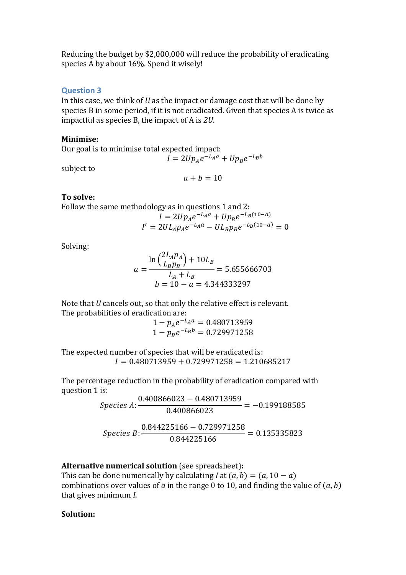Reducing the budget by \$2,000,000 will reduce the probability of eradicating species A by about 16%. Spend it wisely!

## **Question 3**

In this case, we think of *U* as the impact or damage cost that will be done by species B in some period, if it is not eradicated. Given that species A is twice as impactful as species B, the impact of A is *2U*.

## **Minimise:**

Our goal is to minimise total expected impact:

$$
I = 2Up_Ae^{-L_Aa} + Up_Be^{-L_Bb}
$$

subject to

 $a + b = 10$ 

## **To solve:**

Follow the same methodology as in questions 1 and 2:

$$
I = 2Up_Ae^{-L_Aa} + Up_Be^{-L_B(10-a)}
$$
  

$$
I' = 2UL_Ap_Ae^{-L_Aa} - UL_Bp_Be^{-L_B(10-a)} = 0
$$

Solving:

$$
a = \frac{\ln\left(\frac{2L_A p_A}{L_B p_B}\right) + 10L_B}{L_A + L_B} = 5.655666703
$$
  

$$
b = 10 - a = 4.344333297
$$

Note that *U* cancels out, so that only the relative effect is relevant. The probabilities of eradication are:

> $1 - p_{A}e^{-}$  $1 - p_B e^{-}$

The expected number of species that will be eradicated is:  $I = 0.480713959 + 0.729971258 = 1.210685217$ 

The percentage reduction in the probability of eradication compared with question 1 is:

> $\mathcal{S}_{0}^{(n)}$  $\boldsymbol{0}$  $\boldsymbol{0}$  $\mathcal{S}_{0}^{(n)}$  $\boldsymbol{0}$  $\boldsymbol{0}$

## **Alternative numerical solution** (see spreadsheet)**:**

This can be done numerically by calculating *I* at  $(a, b) = (a, 10 - a)$ combinations over values of  $a$  in the range 0 to 10, and finding the value of  $(a, b)$ that gives minimum *I*.

## **Solution:**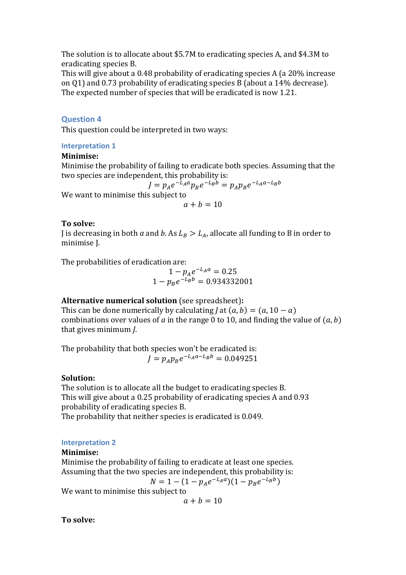The solution is to allocate about \$5.7M to eradicating species A, and \$4.3M to eradicating species B.

This will give about a 0.48 probability of eradicating species A (a 20% increase on Q1) and 0.73 probability of eradicating species B (about a 14% decrease). The expected number of species that will be eradicated is now 1.21.

## **Question 4**

This question could be interpreted in two ways:

### **Interpretation 1**

### **Minimise:**

Minimise the probability of failing to eradicate both species. Assuming that the two species are independent, this probability is:

$$
J = p_A e^{-L_A a} p_B e^{-L_B b} = p_A p_B e^{-L_A a - L_B b}
$$
  
We want to minimise this subject to  

$$
a + b = 10
$$

### **To solve:**

J is decreasing in both *a* and *b*. As  $L_R > L_A$ , allocate all funding to B in order to minimise J.

The probabilities of eradication are:

 $1 - p_{A}e^{-}$  $1 - p_B e^-$ 

## **Alternative numerical solution** (see spreadsheet)**:**

This can be done numerically by calculating *J* at  $(a, b) = (a, 10 - a)$ combinations over values of  $a$  in the range 0 to 10, and finding the value of  $(a, b)$ that gives minimum *J*.

The probability that both species won't be eradicated is:  $J = p_A p_B e^-$ 

#### **Solution:**

The solution is to allocate all the budget to eradicating species B. This will give about a 0.25 probability of eradicating species A and 0.93 probability of eradicating species B.

The probability that neither species is eradicated is 0.049.

#### **Interpretation 2**

### **Minimise:**

Minimise the probability of failing to eradicate at least one species. Assuming that the two species are independent, this probability is:

$$
N = 1 - (1 - p_A e^{-L_A a})(1 - p_B e^{-L_B b})
$$

We want to minimise this subject to

 $a + b = 10$ 

**To solve:**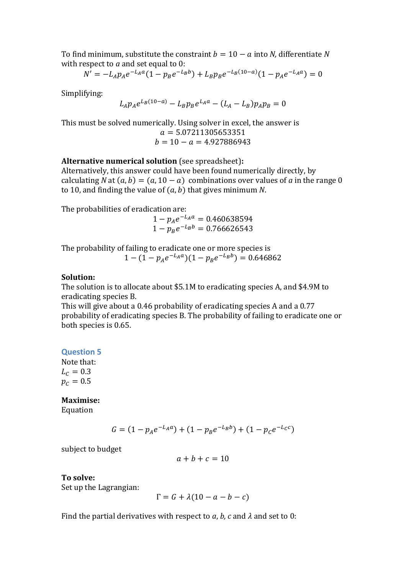To find minimum, substitute the constraint  $b = 10 - a$  into *N*, differentiate *N* with respect to *a* and set equal to 0:

$$
N' = -L_A p_A e^{-L_A a} (1 - p_B e^{-L_B b}) + L_B p_B e^{-L_B (10 - a)} (1 - p_A e^{-L_A a}) = 0
$$

Simplifying:

$$
L_A p_A e^{L_B(10-a)} - L_B p_B e^{L_A a} - (L_A - L_B) p_A p_B = 0
$$

This must be solved numerically. Using solver in excel, the answer is  $a = 5.07211305653351$  $b = 10 - a = 4.927886943$ 

## **Alternative numerical solution** (see spreadsheet)**:**

Alternatively, this answer could have been found numerically directly, by calculating *N* at  $(a, b) = (a, 10 - a)$  combinations over values of *a* in the range 0 to 10, and finding the value of  $(a, b)$  that gives minimum  $N$ .

The probabilities of eradication are:

 $1 - p_{A}e^{-}$  $1 - p_B e^{-}$ 

The probability of failing to eradicate one or more species is  $1 - (1 - p_A e^{-L_A a})(1 - p_B e^{-L_B b}) =$ 

### **Solution:**

The solution is to allocate about \$5.1M to eradicating species A, and \$4.9M to eradicating species B.

This will give about a 0.46 probability of eradicating species A and a 0.77 probability of eradicating species B. The probability of failing to eradicate one or both species is 0.65.

#### **Question 5**

Note that:  $L_c = 0.3$  $p_c = 0.5$ 

## **Maximise:**

Equation

$$
G = (1 - p_A e^{-L_A a}) + (1 - p_B e^{-L_B b}) + (1 - p_C e^{-L_C c})
$$

subject to budget

$$
a+b+c=10
$$

**To solve:**

Set up the Lagrangian:

$$
\Gamma = G + \lambda(10 - a - b - c)
$$

Find the partial derivatives with respect to  $a, b, c$  and  $\lambda$  and set to 0: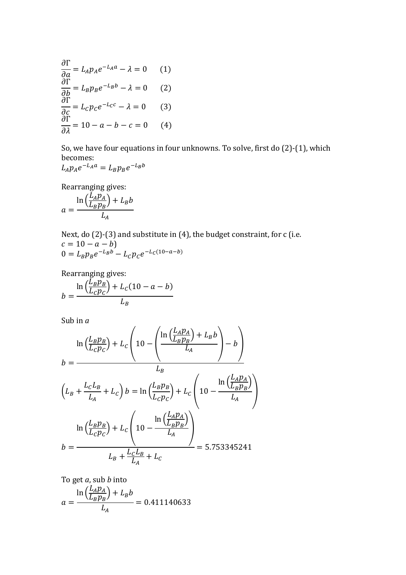$$
\frac{\partial \Gamma}{\partial a} = L_A p_A e^{-L_A a} - \lambda = 0 \qquad (1)
$$
  
\n
$$
\frac{\partial \Gamma}{\partial b} = L_B p_B e^{-L_B b} - \lambda = 0 \qquad (2)
$$
  
\n
$$
\frac{\partial \Gamma}{\partial c} = L_C p_C e^{-L_C c} - \lambda = 0 \qquad (3)
$$
  
\n
$$
\frac{\partial \Gamma}{\partial \lambda} = 10 - a - b - c = 0 \qquad (4)
$$

So, we have four equations in four unknowns. To solve, first do (2)-(1), which becomes:  $-L_B b$ 

$$
L_A p_A e^{-L_A a} = L_B p_B e^{-L_B}
$$

Rearranging gives:

$$
a = \frac{\ln\left(\frac{L_A p_A}{L_B p_B}\right) + L_B b}{L_A}
$$

Next, do (2)-(3) and substitute in (4), the budget constraint, for c (i.e.  $c = 10 - a - b$  $0 = L_B p_B e^{-L_B b} - L_C p_C e^{-L_C (10 - a - b)}$ 

Rearranging gives:

$$
b = \frac{\ln\left(\frac{L_B p_B}{L_C p_C}\right) + L_C (10 - a - b)}{L_B}
$$

Sub in *a*

$$
\ln\left(\frac{L_B p_B}{L_C p_C}\right) + L_C \left(10 - \left(\frac{\ln\left(\frac{L_A p_A}{L_B p_B}\right) + L_B b}{L_A}\right) - b\right)
$$
  

$$
b = \frac{L_B}{L_B}
$$
  

$$
\left(L_B + \frac{L_C L_B}{L_A} + L_C\right) b = \ln\left(\frac{L_B p_B}{L_C p_C}\right) + L_C \left(10 - \frac{\ln\left(\frac{L_A p_A}{L_B p_B}\right)}{L_A}\right)
$$
  

$$
\ln\left(\frac{L_B p_B}{L_C p_C}\right) + L_C \left(10 - \frac{\ln\left(\frac{L_A p_A}{L_B p_B}\right)}{L_A}\right)
$$
  

$$
b = \frac{L_B + \frac{L_C L_B}{L_A} + L_C}{L_B + \frac{L_C L_B}{L_A} + L_C} = 5.753345241
$$

To get *a*, sub *b* into  $\ln\left(\frac{L_A p_A}{L_B}\right) +$ 

$$
a = \frac{\ln\left(\frac{A}{L_B p_B}\right) + L_B b}{L_A} = 0.411140633
$$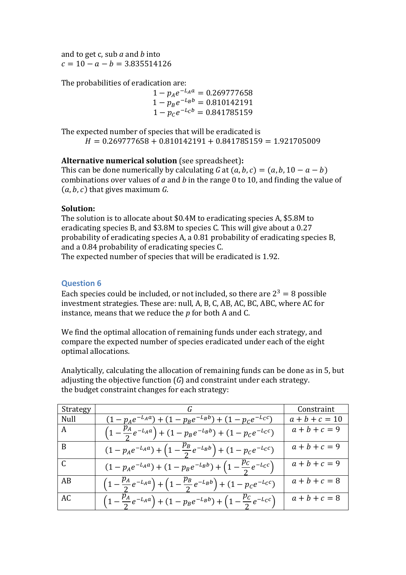and to get c, sub *a* and *b* into  $c = 10 - a - b = 3.835514126$ 

The probabilities of eradication are:

 $1 - p_{A}e^{-}$  $1 - p_B e^ 1 - p_{c}e^{-}$ 

The expected number of species that will be eradicated is  $H = 0.269777658 + 0.810142191 + 0.841785159 = 1.921705009$ 

## **Alternative numerical solution** (see spreadsheet)**:**

This can be done numerically by calculating *G* at  $(a, b, c) = (a, b, 10 - a - b)$ combinations over values of *a* and *b* in the range 0 to 10, and finding the value of  $(a, b, c)$  that gives maximum  $G$ .

## **Solution:**

The solution is to allocate about \$0.4M to eradicating species A, \$5.8M to eradicating species B, and \$3.8M to species C. This will give about a 0.27 probability of eradicating species A, a 0.81 probability of eradicating species B, and a 0.84 probability of eradicating species C.

The expected number of species that will be eradicated is 1.92.

## **Question 6**

Each species could be included, or not included, so there are  $2^3 = 8$  possible investment strategies. These are: null, A, B, C, AB, AC, BC, ABC, where AC for instance, means that we reduce the *p* for both A and C.

We find the optimal allocation of remaining funds under each strategy, and compare the expected number of species eradicated under each of the eight optimal allocations.

Analytically, calculating the allocation of remaining funds can be done as in 5, but adjusting the objective function (*G*) and constraint under each strategy. the budget constraint changes for each strategy:

| Strategy        |                                                                                                               | Constraint       |
|-----------------|---------------------------------------------------------------------------------------------------------------|------------------|
| Null            | $(1 - p_A e^{-L_A a}) + (1 - p_B e^{-L_B b}) + (1 - p_C e^{-L_C c})$                                          | $a + b + c = 10$ |
| A               | $\left(1-\frac{p_A}{2}e^{-L_Aa}\right) + \left(1-p_Be^{-L_Bb}\right) + \left(1-p_Ce^{-L_Cc}\right)$           | $a + b + c = 9$  |
| B               | $(1-p_Ae^{-L_Aa})+\left(1-\frac{p_B}{2}e^{-L_Bb}\right)+(1-p_ce^{-L_cc})$                                     | $a + b + c = 9$  |
| $\vert C \vert$ | $(1 - p_A e^{-L_A a}) + (1 - p_B e^{-L_B b}) + (1 - \frac{\mu_c}{2} e^{-L_c c})$                              | $a + b + c = 9$  |
| AB              | $\left(1-\frac{p_A}{2}e^{-L_Aa}\right) + \left(1-\frac{p_B}{2}e^{-L_Bb}\right) + \left(1-p_Ce^{-L_Cc}\right)$ | $a + b + c = 8$  |
| AC              | $\left(1-\frac{p_A}{2}e^{-L_Aa}\right) + \left(1-p_Be^{-L_Bb}\right) + \left(1-\frac{p_C}{2}e^{-L_Cc}\right)$ | $a + b + c = 8$  |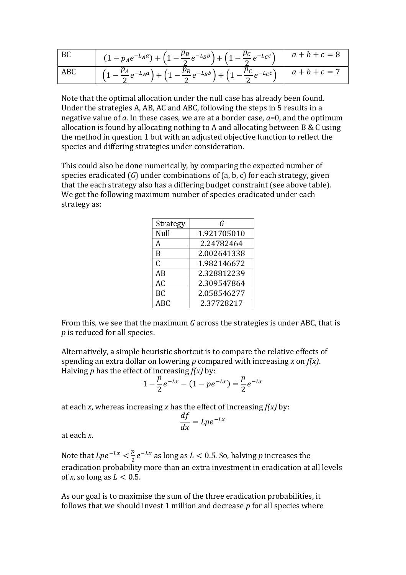| BC      | $(1-p_Ae^{-L_Aa})+\left(1-\frac{p_B}{2}e^{-L_Bb}\right)+\left(1-\frac{p_C}{2}e^{-L_Cc}\right)$                          | $a + b + c = 8$ |
|---------|-------------------------------------------------------------------------------------------------------------------------|-----------------|
| $ $ ABC | $\left(1-\frac{p_A}{2}e^{-L_Aa}\right) + \left(1-\frac{p_B}{2}e^{-L_Bb}\right) + \left(1-\frac{p_C}{2}e^{-L_Cc}\right)$ | $a + b + c = 7$ |

Note that the optimal allocation under the null case has already been found. Under the strategies A, AB, AC and ABC, following the steps in 5 results in a negative value of *a*. In these cases, we are at a border case, *a*=0, and the optimum allocation is found by allocating nothing to A and allocating between B & C using the method in question 1 but with an adjusted objective function to reflect the species and differing strategies under consideration.

This could also be done numerically, by comparing the expected number of species eradicated (*G*) under combinations of (a, b, c) for each strategy, given that the each strategy also has a differing budget constraint (see above table). We get the following maximum number of species eradicated under each strategy as:

| Strategy   | G           |
|------------|-------------|
| Null       | 1.921705010 |
| A          | 2.24782464  |
| B          | 2.002641338 |
| C          | 1.982146672 |
| AB         | 2.328812239 |
| AC         | 2.309547864 |
| <b>BC</b>  | 2.058546277 |
| <b>ABC</b> | 2.37728217  |

From this, we see that the maximum *G* across the strategies is under ABC, that is *p* is reduced for all species.

Alternatively, a simple heuristic shortcut is to compare the relative effects of spending an extra dollar on lowering *p* compared with increasing *x* on *f(x)*. Halving *p* has the effect of increasing *f(x)* by:

$$
1 - \frac{p}{2}e^{-Lx} - (1 - pe^{-Lx}) = \frac{p}{2}e^{-Lx}
$$

at each *x*, whereas increasing *x* has the effect of increasing *f(x)* by:

$$
\frac{df}{dx} = Lpe^{-Lx}
$$

at each *x*.

Note that  $Lpe^{-Lx} < \frac{p}{2}$  $\frac{p}{2}e^{-Lx}$  as long as  $L < 0.5$ . So, halving p increases the eradication probability more than an extra investment in eradication at all levels of *x*, so long as  $L < 0.5$ .

As our goal is to maximise the sum of the three eradication probabilities, it follows that we should invest 1 million and decrease *p* for all species where